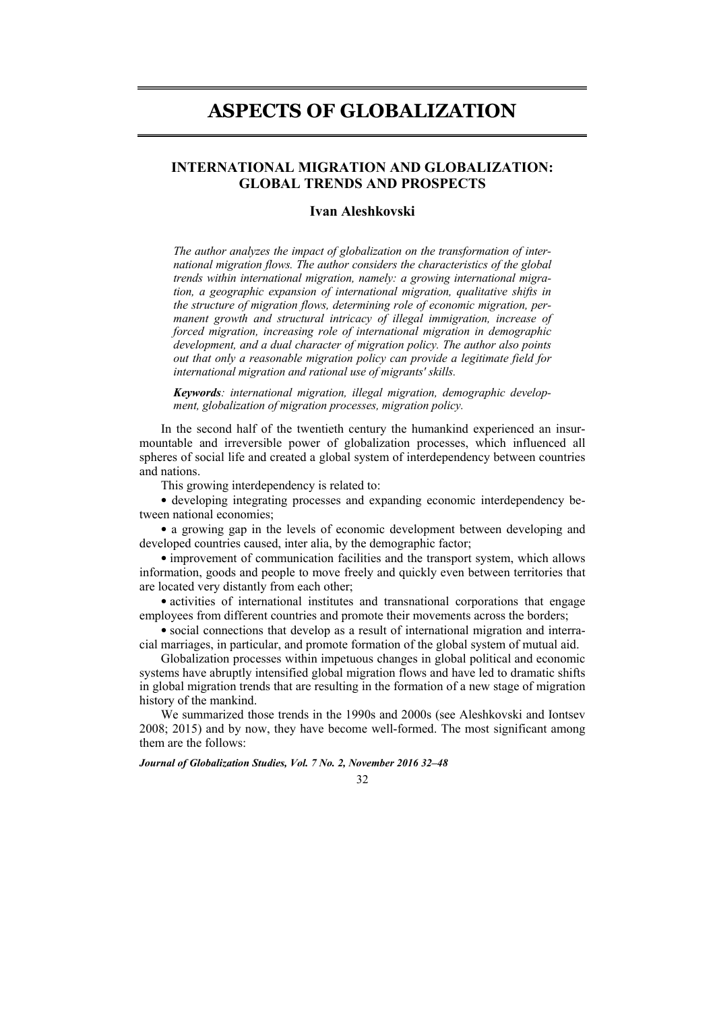# **ASPECTS OF GLOBALIZATION**

# **INTERNATIONAL MIGRATION AND GLOBALIZATION: GLOBAL TRENDS AND PROSPECTS**

#### **Ivan Aleshkovski**

*The author analyzes the impact of globalization on the transformation of international migration flows. The author considers the characteristics of the global trends within international migration, namely: a growing international migration, a geographic expansion of international migration, qualitative shifts in the structure of migration flows, determining role of economic migration, permanent growth and structural intricacy of illegal immigration, increase of forced migration, increasing role of international migration in demographic development, and a dual character of migration policy. The author also points out that only a reasonable migration policy can provide a legitimate field for international migration and rational use of migrants' skills.* 

*Keywords: international migration, illegal migration, demographic development, globalization of migration processes, migration policy.* 

In the second half of the twentieth century the humankind experienced an insurmountable and irreversible power of globalization processes, which influenced all spheres of social life and created a global system of interdependency between countries and nations.

This growing interdependency is related to:

• developing integrating processes and expanding economic interdependency between national economies;

• a growing gap in the levels of economic development between developing and developed countries caused, inter alia, by the demographic factor;

• improvement of communication facilities and the transport system, which allows information, goods and people to move freely and quickly even between territories that are located very distantly from each other;

• activities of international institutes and transnational corporations that engage employees from different countries and promote their movements across the borders;

• social connections that develop as a result of international migration and interracial marriages, in particular, and promote formation of the global system of mutual aid.

Globalization processes within impetuous changes in global political and economic systems have abruptly intensified global migration flows and have led to dramatic shifts in global migration trends that are resulting in the formation of a new stage of migration history of the mankind.

We summarized those trends in the 1990s and 2000s (see Aleshkovski and Iontsev 2008; 2015) and by now, they have become well-formed. The most significant among them are the follows:

*Journal of Globalization Studies, Vol. 7 No. 2, November 2016 32–48* 

#### 32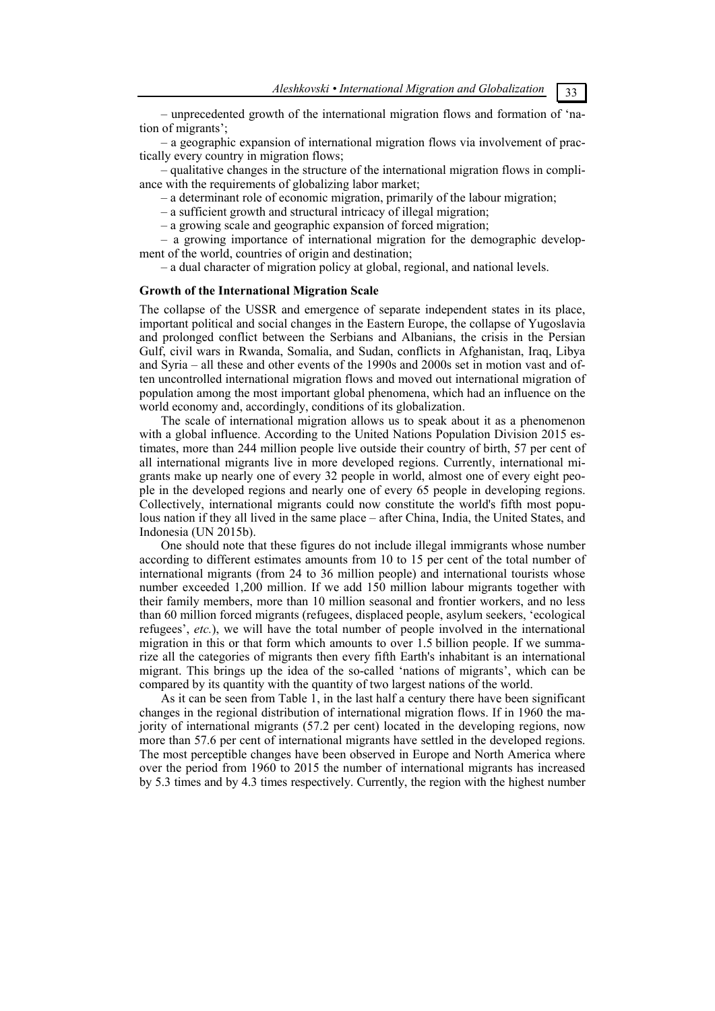– unprecedented growth of the international migration flows and formation of 'nation of migrants';

– a geographic expansion of international migration flows via involvement of practically every country in migration flows;

– qualitative changes in the structure of the international migration flows in compliance with the requirements of globalizing labor market;

– a determinant role of economic migration, primarily of the labour migration;

– a sufficient growth and structural intricacy of illegal migration;

– a growing scale and geographic expansion of forced migration;

– a growing importance of international migration for the demographic development of the world, countries of origin and destination;

– a dual character of migration policy at global, regional, and national levels.

#### **Growth of the International Migration Scale**

The collapse of the USSR and emergence of separate independent states in its place, important political and social changes in the Eastern Europe, the collapse of Yugoslavia and prolonged conflict between the Serbians and Albanians, the crisis in the Persian Gulf, civil wars in Rwanda, Somalia, and Sudan, conflicts in Afghanistan, Iraq, Libya and Syria – all these and other events of the 1990s and 2000s set in motion vast and often uncontrolled international migration flows and moved out international migration of population among the most important global phenomena, which had an influence on the world economy and, accordingly, conditions of its globalization.

The scale of international migration allows us to speak about it as a phenomenon with a global influence. According to the United Nations Population Division 2015 estimates, more than 244 million people live outside their country of birth, 57 per cent of all international migrants live in more developed regions. Currently, international migrants make up nearly one of every 32 people in world, almost one of every eight people in the developed regions and nearly one of every 65 people in developing regions. Collectively, international migrants could now constitute the world's fifth most populous nation if they all lived in the same place – after China, India, the United States, and Indonesia (UN 2015b).

One should note that these figures do not include illegal immigrants whose number according to different estimates amounts from 10 to 15 per cent of the total number of international migrants (from 24 to 36 million people) and international tourists whose number exceeded 1,200 million. If we add 150 million labour migrants together with their family members, more than 10 million seasonal and frontier workers, and no less than 60 million forced migrants (refugees, displaced people, asylum seekers, 'ecological refugees', *etc.*), we will have the total number of people involved in the international migration in this or that form which amounts to over 1.5 billion people. If we summarize all the categories of migrants then every fifth Earth's inhabitant is an international migrant. This brings up the idea of the so-called 'nations of migrants', which can be compared by its quantity with the quantity of two largest nations of the world.

As it can be seen from Table 1, in the last half a century there have been significant changes in the regional distribution of international migration flows. If in 1960 the majority of international migrants (57.2 per cent) located in the developing regions, now more than 57.6 per cent of international migrants have settled in the developed regions. The most perceptible changes have been observed in Europe and North America where over the period from 1960 to 2015 the number of international migrants has increased by 5.3 times and by 4.3 times respectively. Currently, the region with the highest number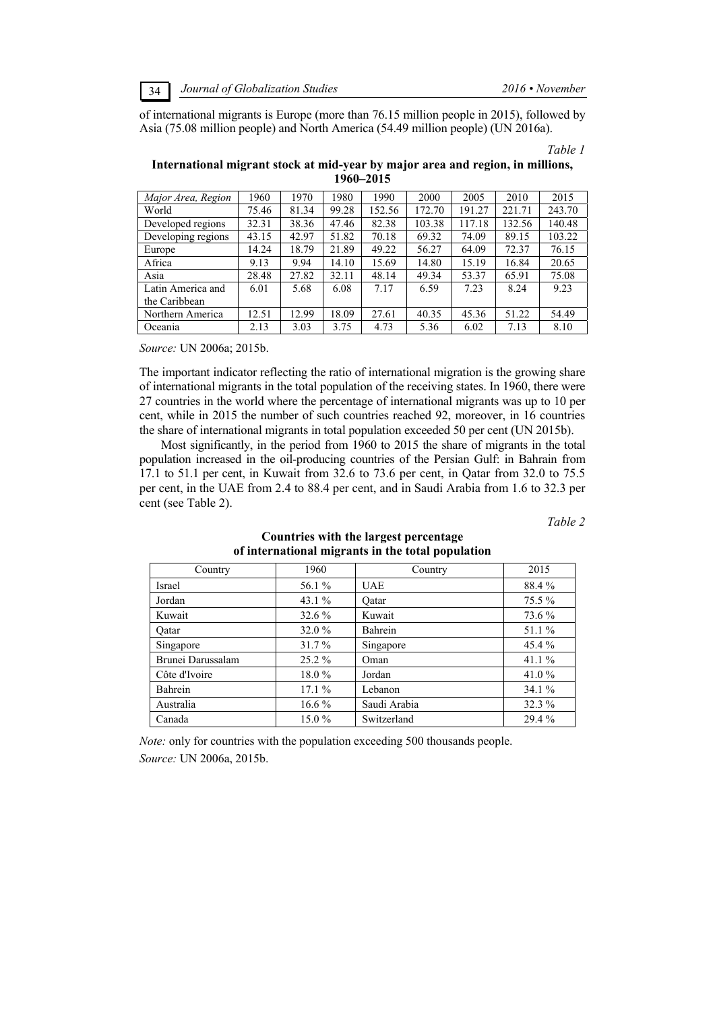of international migrants is Europe (more than 76.15 million people in 2015), followed by Asia (75.08 million people) and North America (54.49 million people) (UN 2016a).

*Table 1* 

| International migrant stock at mid-year by major area and region, in millions, |  |
|--------------------------------------------------------------------------------|--|
| 1960–2015                                                                      |  |

| Major Area, Region | 1960  | 1970  | 1980  | 1990   | 2000   | 2005   | 2010   | 2015   |
|--------------------|-------|-------|-------|--------|--------|--------|--------|--------|
| World              | 75.46 | 81.34 | 99.28 | 152.56 | 172.70 | 191.27 | 221.71 | 243.70 |
| Developed regions  | 32.31 | 38.36 | 47.46 | 82.38  | 103.38 | 117.18 | 132.56 | 140.48 |
| Developing regions | 43.15 | 42.97 | 51.82 | 70.18  | 69.32  | 74.09  | 89.15  | 103.22 |
| Europe             | 14.24 | 18.79 | 21.89 | 49.22  | 56.27  | 64.09  | 72.37  | 76.15  |
| Africa             | 9.13  | 9.94  | 14.10 | 15.69  | 14.80  | 15.19  | 16.84  | 20.65  |
| Asia               | 28.48 | 27.82 | 32.11 | 48.14  | 49.34  | 53.37  | 65.91  | 75.08  |
| Latin America and  | 6.01  | 5.68  | 6.08  | 7.17   | 6.59   | 7.23   | 8.24   | 9.23   |
| the Caribbean      |       |       |       |        |        |        |        |        |
| Northern America   | 12.51 | 12.99 | 18.09 | 27.61  | 40.35  | 45.36  | 51.22  | 54.49  |
| Oceania            | 2.13  | 3.03  | 3.75  | 4.73   | 5.36   | 6.02   | 7.13   | 8.10   |

*Source:* UN 2006a; 2015b.

The important indicator reflecting the ratio of international migration is the growing share of international migrants in the total population of the receiving states. In 1960, there were 27 countries in the world where the percentage of international migrants was up to 10 per cent, while in 2015 the number of such countries reached 92, moreover, in 16 countries the share of international migrants in total population exceeded 50 per cent (UN 2015b).

Most significantly, in the period from 1960 to 2015 the share of migrants in the total population increased in the oil-producing countries of the Persian Gulf: in Bahrain from 17.1 to 51.1 per cent, in Kuwait from 32.6 to 73.6 per cent, in Qatar from 32.0 to 75.5 per cent, in the UAE from 2.4 to 88.4 per cent, and in Saudi Arabia from 1.6 to 32.3 per cent (see Table 2).

*Table 2* 

| Country           | 1960     | Country      | 2015     |
|-------------------|----------|--------------|----------|
| <b>Israel</b>     | 56.1 %   | <b>UAE</b>   | 88.4%    |
| Jordan            | 43.1 $%$ | Qatar        | 75.5 %   |
| Kuwait            | $32.6\%$ | Kuwait       | 73.6 %   |
| Oatar             | 32.0 %   | Bahrein      | 51.1 %   |
| Singapore         | $31.7\%$ | Singapore    | 45.4%    |
| Brunei Darussalam | $25.2\%$ | Oman         | 41.1 $%$ |
| Côte d'Ivoire     | 18.0%    | Jordan       | 41.0 $%$ |
| Bahrein           | 17.1%    | Lebanon      | 34.1%    |
| Australia         | $16.6\%$ | Saudi Arabia | $32.3\%$ |
| Canada            | $15.0\%$ | Switzerland  | 29.4 %   |

## **Countries with the largest percentage of international migrants in the total population**

*Note:* only for countries with the population exceeding 500 thousands people. *Source:* UN 2006a, 2015b.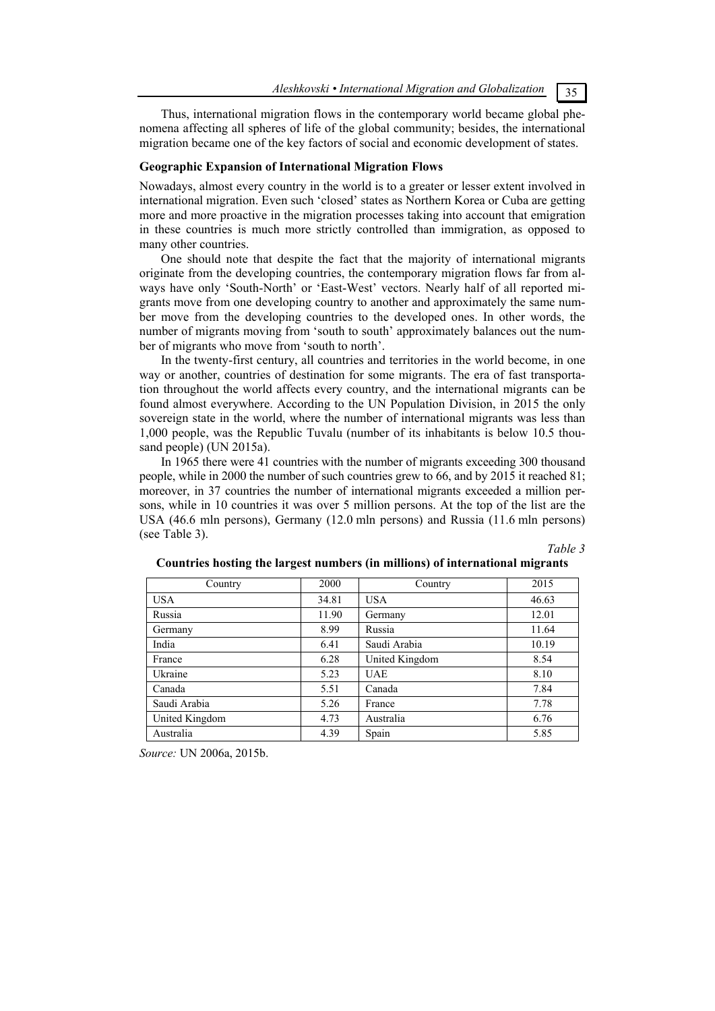*Aleshkovski • International Migration аnd Globalization* 35

Thus, international migration flows in the contemporary world became global phenomena affecting all spheres of life of the global community; besides, the international migration became one of the key factors of social and economic development of states.

#### **Geographic Expansion of International Migration Flows**

Nowadays, almost every country in the world is to a greater or lesser extent involved in international migration. Even such 'closed' states as Northern Korea or Cuba are getting more and more proactive in the migration processes taking into account that emigration in these countries is much more strictly controlled than immigration, as opposed to many other countries.

One should note that despite the fact that the majority of international migrants originate from the developing countries, the contemporary migration flows far from always have only 'South-North' or 'East-West' vectors. Nearly half of all reported migrants move from one developing country to another and approximately the same number move from the developing countries to the developed ones. In other words, the number of migrants moving from 'south to south' approximately balances out the number of migrants who move from 'south to north'.

In the twenty-first century, all countries and territories in the world become, in one way or another, countries of destination for some migrants. The era of fast transportation throughout the world affects every country, and the international migrants can be found almost everywhere. According to the UN Population Division, in 2015 the only sovereign state in the world, where the number of international migrants was less than 1,000 people, was the Republic Tuvalu (number of its inhabitants is below 10.5 thousand people) (UN 2015a).

In 1965 there were 41 countries with the number of migrants exceeding 300 thousand people, while in 2000 the number of such countries grew to 66, and by 2015 it reached 81; moreover, in 37 countries the number of international migrants exceeded a million persons, while in 10 countries it was over 5 million persons. At the top of the list are the USA (46.6 mln persons), Germany (12.0 mln persons) and Russia (11.6 mln persons) (see Table 3).

*Table 3* 

| Country        | 2000  | Country        | 2015  |
|----------------|-------|----------------|-------|
| <b>USA</b>     | 34.81 | <b>USA</b>     | 46.63 |
| Russia         | 11.90 | Germany        | 12.01 |
| Germany        | 8.99  | Russia         | 11.64 |
| India          | 6.41  | Saudi Arabia   | 10.19 |
| France         | 6.28  | United Kingdom | 8.54  |
| Ukraine        | 5.23  | <b>UAE</b>     | 8.10  |
| Canada         | 5.51  | Canada         | 7.84  |
| Saudi Arabia   | 5.26  | France         | 7.78  |
| United Kingdom | 4.73  | Australia      | 6.76  |
| Australia      | 4.39  | Spain          | 5.85  |

#### **Countries hosting the largest numbers (in millions) of international migrants**

*Source:* UN 2006a, 2015b.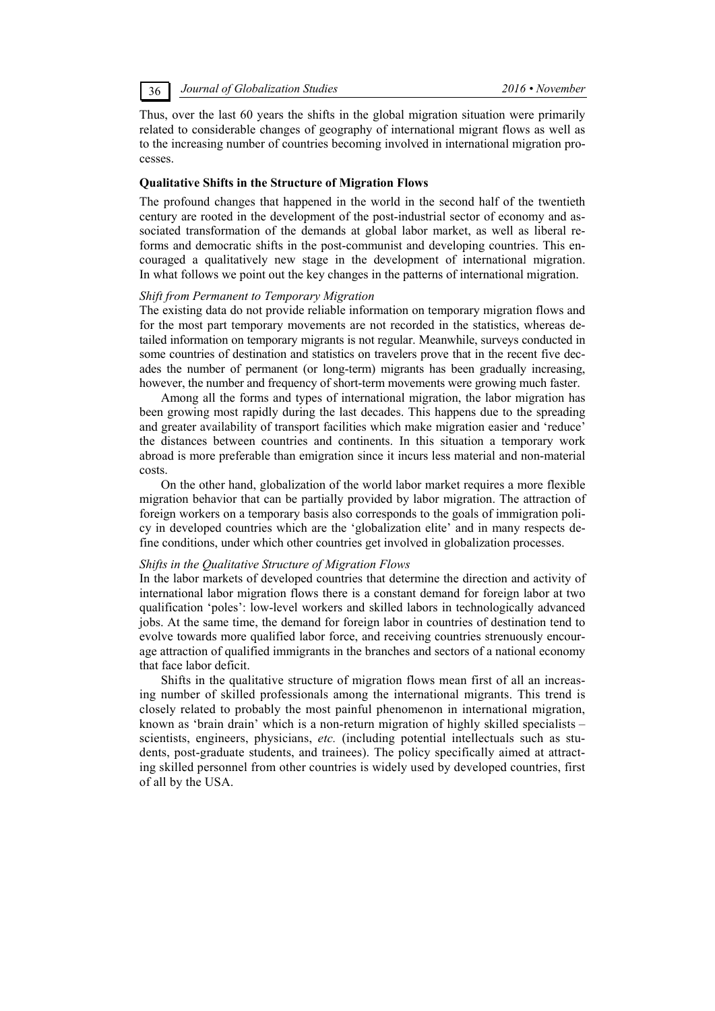Thus, over the last 60 years the shifts in the global migration situation were primarily related to considerable changes of geography of international migrant flows as well as to the increasing number of countries becoming involved in international migration processes.

#### **Qualitative Shifts in the Structure of Migration Flows**

The profound changes that happened in the world in the second half of the twentieth century are rooted in the development of the post-industrial sector of economy and associated transformation of the demands at global labor market, as well as liberal reforms and democratic shifts in the post-communist and developing countries. This encouraged a qualitatively new stage in the development of international migration. In what follows we point out the key changes in the patterns of international migration.

## *Shift from Permanent to Temporary Migration*

The existing data do not provide reliable information on temporary migration flows and for the most part temporary movements are not recorded in the statistics, whereas detailed information on temporary migrants is not regular. Meanwhile, surveys conducted in some countries of destination and statistics on travelers prove that in the recent five decades the number of permanent (or long-term) migrants has been gradually increasing, however, the number and frequency of short-term movements were growing much faster.

Among all the forms and types of international migration, the labor migration has been growing most rapidly during the last decades. This happens due to the spreading and greater availability of transport facilities which make migration easier and 'reduce' the distances between countries and continents. In this situation a temporary work abroad is more preferable than emigration since it incurs less material and non-material costs.

On the other hand, globalization of the world labor market requires a more flexible migration behavior that can be partially provided by labor migration. The attraction of foreign workers on a temporary basis also corresponds to the goals of immigration policy in developed countries which are the 'globalization elite' and in many respects define conditions, under which other countries get involved in globalization processes.

#### *Shifts in the Qualitative Structure of Migration Flows*

In the labor markets of developed countries that determine the direction and activity of international labor migration flows there is a constant demand for foreign labor at two qualification 'poles': low-level workers and skilled labors in technologically advanced jobs. At the same time, the demand for foreign labor in countries of destination tend to evolve towards more qualified labor force, and receiving countries strenuously encourage attraction of qualified immigrants in the branches and sectors of a national economy that face labor deficit.

Shifts in the qualitative structure of migration flows mean first of all an increasing number of skilled professionals among the international migrants. This trend is closely related to probably the most painful phenomenon in international migration, known as 'brain drain' which is a non-return migration of highly skilled specialists – scientists, engineers, physicians, *etc.* (including potential intellectuals such as students, post-graduate students, and trainees). The policy specifically aimed at attracting skilled personnel from other countries is widely used by developed countries, first of all by the USA.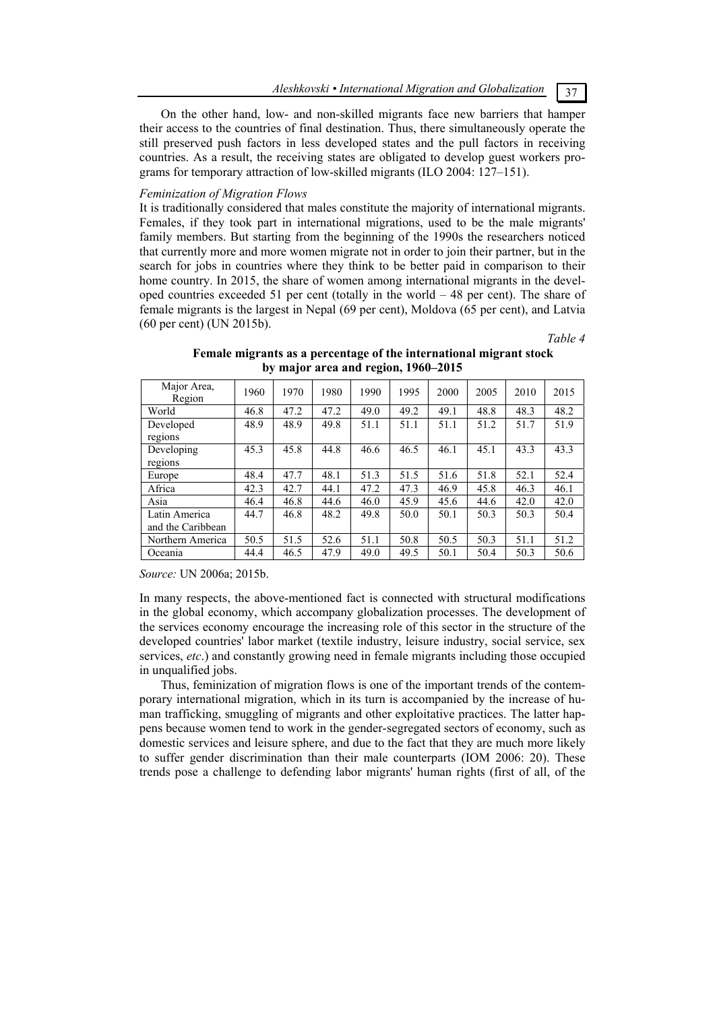*Aleshkovski • International Migration аnd Globalization* 37

On the other hand, low- and non-skilled migrants face new barriers that hamper their access to the countries of final destination. Thus, there simultaneously operate the still preserved push factors in less developed states and the pull factors in receiving countries. As a result, the receiving states are obligated to develop guest workers programs for temporary attraction of low-skilled migrants (ILO 2004: 127–151).

#### *Feminization of Migration Flows*

It is traditionally considered that males constitute the majority of international migrants. Females, if they took part in international migrations, used to be the male migrants' family members. But starting from the beginning of the 1990s the researchers noticed that currently more and more women migrate not in order to join their partner, but in the search for jobs in countries where they think to be better paid in comparison to their home country. In 2015, the share of women among international migrants in the developed countries exceeded 51 per cent (totally in the world – 48 per cent). The share of female migrants is the largest in Nepal (69 per cent), Moldova (65 per cent), and Latvia (60 per cent) (UN 2015b).

*Table 4* 

| Major Area,<br>Region              | 1960 | 1970 | 1980 | 1990 | 1995 | 2000 | 2005 | 2010 | 2015 |
|------------------------------------|------|------|------|------|------|------|------|------|------|
| World                              | 46.8 | 47.2 | 47.2 | 49.0 | 49.2 | 49.1 | 48.8 | 48.3 | 48.2 |
| Developed<br>regions               | 48.9 | 48.9 | 49.8 | 51.1 | 51.1 | 51.1 | 51.2 | 51.7 | 51.9 |
| Developing<br>regions              | 45.3 | 45.8 | 44.8 | 46.6 | 46.5 | 46.1 | 45.1 | 43.3 | 43.3 |
| Europe                             | 48.4 | 47.7 | 48.1 | 51.3 | 51.5 | 51.6 | 51.8 | 52.1 | 52.4 |
| Africa                             | 42.3 | 42.7 | 44.1 | 47.2 | 47.3 | 46.9 | 45.8 | 46.3 | 46.1 |
| Asia                               | 46.4 | 46.8 | 44.6 | 46.0 | 45.9 | 45.6 | 44.6 | 42.0 | 42.0 |
| Latin America<br>and the Caribbean | 44.7 | 46.8 | 48.2 | 49.8 | 50.0 | 50.1 | 50.3 | 50.3 | 50.4 |
| Northern America                   | 50.5 | 51.5 | 52.6 | 51.1 | 50.8 | 50.5 | 50.3 | 51.1 | 51.2 |
| Oceania                            | 44.4 | 46.5 | 47.9 | 49.0 | 49.5 | 50.1 | 50.4 | 50.3 | 50.6 |

# **Female migrants as a percentage of the international migrant stock by major area and region, 1960–2015**

*Source:* UN 2006a; 2015b.

In many respects, the above-mentioned fact is connected with structural modifications in the global economy, which accompany globalization processes. The development of the services economy encourage the increasing role of this sector in the structure of the developed countries' labor market (textile industry, leisure industry, social service, sex services, *etc*.) and constantly growing need in female migrants including those occupied in unqualified jobs.

Thus, feminization of migration flows is one of the important trends of the contemporary international migration, which in its turn is accompanied by the increase of human trafficking, smuggling of migrants and other exploitative practices. The latter happens because women tend to work in the gender-segregated sectors of economy, such as domestic services and leisure sphere, and due to the fact that they are much more likely to suffer gender discrimination than their male counterparts (IOM 2006: 20). These trends pose a challenge to defending labor migrants' human rights (first of all, of the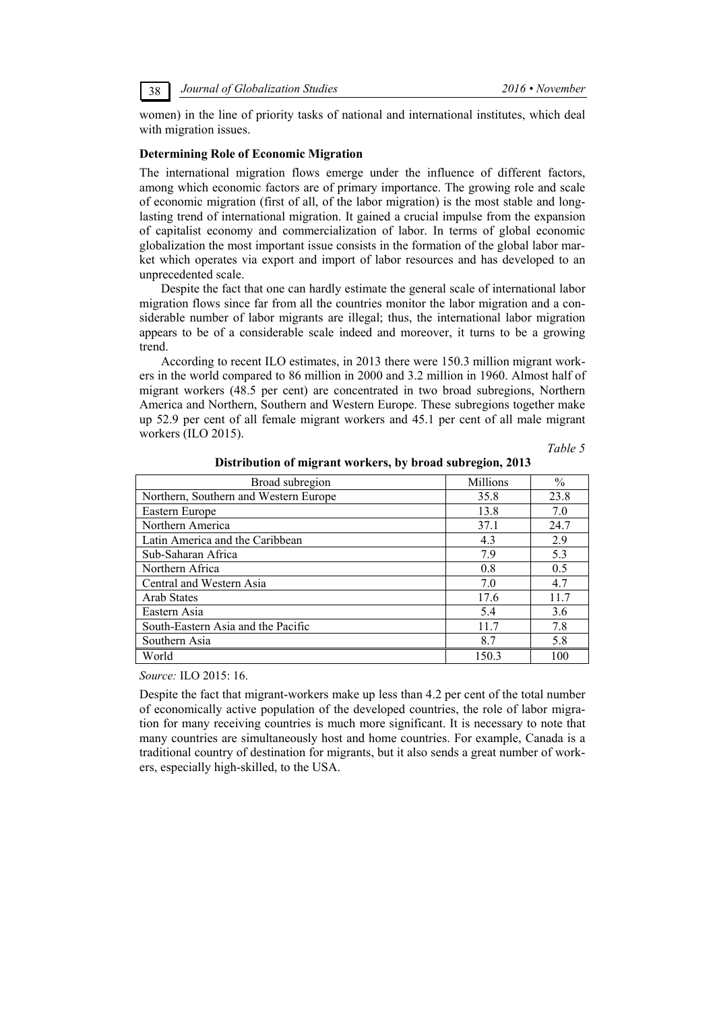women) in the line of priority tasks of national and international institutes, which deal with migration issues.

#### **Determining Role of Economic Migration**

The international migration flows emerge under the influence of different factors, among which economic factors are of primary importance. The growing role and scale of economic migration (first of all, of the labor migration) is the most stable and longlasting trend of international migration. It gained a crucial impulse from the expansion of capitalist economy and commercialization of labor. In terms of global economic globalization the most important issue consists in the formation of the global labor market which operates via export and import of labor resources and has developed to an unprecedented scale.

Despite the fact that one can hardly estimate the general scale of international labor migration flows since far from all the countries monitor the labor migration and a considerable number of labor migrants are illegal; thus, the international labor migration appears to be of a considerable scale indeed and moreover, it turns to be a growing trend.

According to recent ILO estimates, in 2013 there were 150.3 million migrant workers in the world compared to 86 million in 2000 and 3.2 million in 1960. Almost half of migrant workers (48.5 per cent) are concentrated in two broad subregions, Northern America and Northern, Southern and Western Europe. These subregions together make up 52.9 per cent of all female migrant workers and 45.1 per cent of all male migrant workers (ILO 2015).

*Table 5* 

| Broad subregion                       | <b>Millions</b> | $\frac{0}{0}$ |
|---------------------------------------|-----------------|---------------|
| Northern, Southern and Western Europe | 35.8            | 23.8          |
| Eastern Europe                        | 13.8            | 7.0           |
| Northern America                      | 37.1            | 24.7          |
| Latin America and the Caribbean       | 4.3             | 2.9           |
| Sub-Saharan Africa                    | 7.9             | 5.3           |
| Northern Africa                       | 0.8             | 0.5           |
| Central and Western Asia              | 7.0             | 4.7           |
| Arab States                           | 17.6            | 11.7          |
| Eastern Asia                          | 5.4             | 3.6           |
| South-Eastern Asia and the Pacific    | 11.7            | 7.8           |
| Southern Asia                         | 8.7             | 5.8           |
| World                                 | 150.3           | 100           |

**Distribution of migrant workers, by broad subregion, 2013** 

*Source:* ILO 2015: 16.

Despite the fact that migrant-workers make up less than 4.2 per cent of the total number of economically active population of the developed countries, the role of labor migration for many receiving countries is much more significant. It is necessary to note that many countries are simultaneously host and home countries. For example, Canada is a traditional country of destination for migrants, but it also sends a great number of workers, especially high-skilled, to the USA.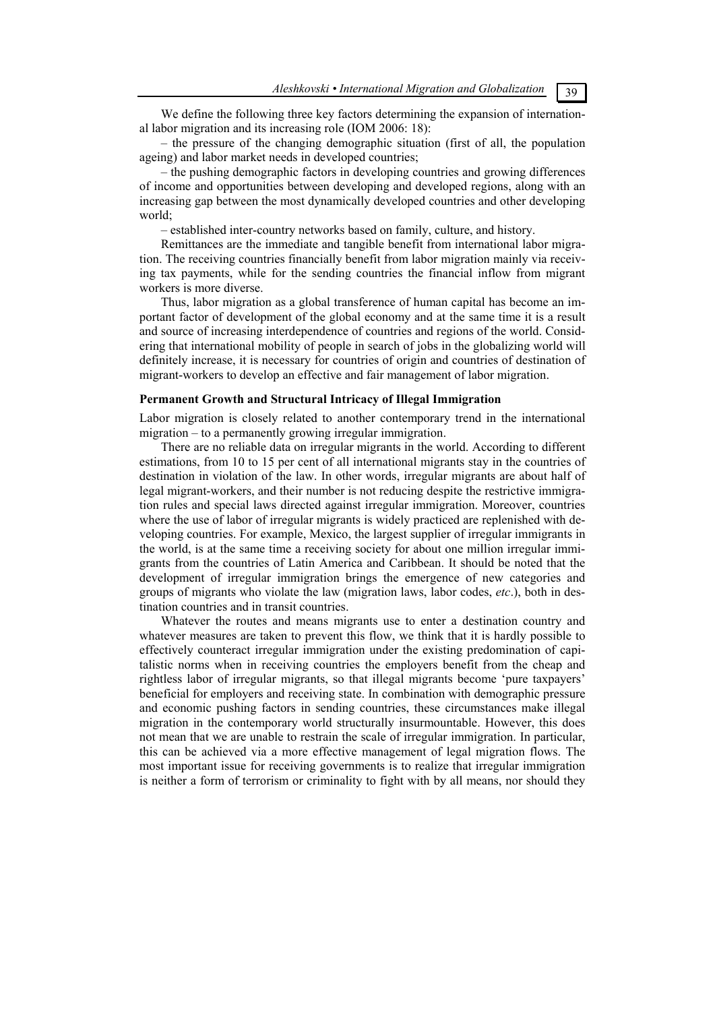We define the following three key factors determining the expansion of international labor migration and its increasing role (IOM 2006: 18):

– the pressure of the changing demographic situation (first of all, the population ageing) and labor market needs in developed countries;

– the pushing demographic factors in developing countries and growing differences of income and opportunities between developing and developed regions, along with an increasing gap between the most dynamically developed countries and other developing world;

– established inter-country networks based on family, culture, and history.

Remittances are the immediate and tangible benefit from international labor migration. The receiving countries financially benefit from labor migration mainly via receiving tax payments, while for the sending countries the financial inflow from migrant workers is more diverse.

Thus, labor migration as a global transference of human capital has become an important factor of development of the global economy and at the same time it is a result and source of increasing interdependence of countries and regions of the world. Considering that international mobility of people in search of jobs in the globalizing world will definitely increase, it is necessary for countries of origin and countries of destination of migrant-workers to develop an effective and fair management of labor migration.

#### **Permanent Growth and Structural Intricacy of Illegal Immigration**

Labor migration is closely related to another contemporary trend in the international migration – to a permanently growing irregular immigration.

There are no reliable data on irregular migrants in the world. According to different estimations, from 10 to 15 per cent of all international migrants stay in the countries of destination in violation of the law. In other words, irregular migrants are about half of legal migrant-workers, and their number is not reducing despite the restrictive immigration rules and special laws directed against irregular immigration. Moreover, countries where the use of labor of irregular migrants is widely practiced are replenished with developing countries. For example, Mexico, the largest supplier of irregular immigrants in the world, is at the same time a receiving society for about one million irregular immigrants from the countries of Latin America and Caribbean. It should be noted that the development of irregular immigration brings the emergence of new categories and groups of migrants who violate the law (migration laws, labor codes, *etc*.), both in destination countries and in transit countries.

Whatever the routes and means migrants use to enter a destination country and whatever measures are taken to prevent this flow, we think that it is hardly possible to effectively counteract irregular immigration under the existing predomination of capitalistic norms when in receiving countries the employers benefit from the cheap and rightless labor of irregular migrants, so that illegal migrants become 'pure taxpayers' beneficial for employers and receiving state. In combination with demographic pressure and economic pushing factors in sending countries, these circumstances make illegal migration in the contemporary world structurally insurmountable. However, this does not mean that we are unable to restrain the scale of irregular immigration. In particular, this can be achieved via a more effective management of legal migration flows. The most important issue for receiving governments is to realize that irregular immigration is neither a form of terrorism or criminality to fight with by all means, nor should they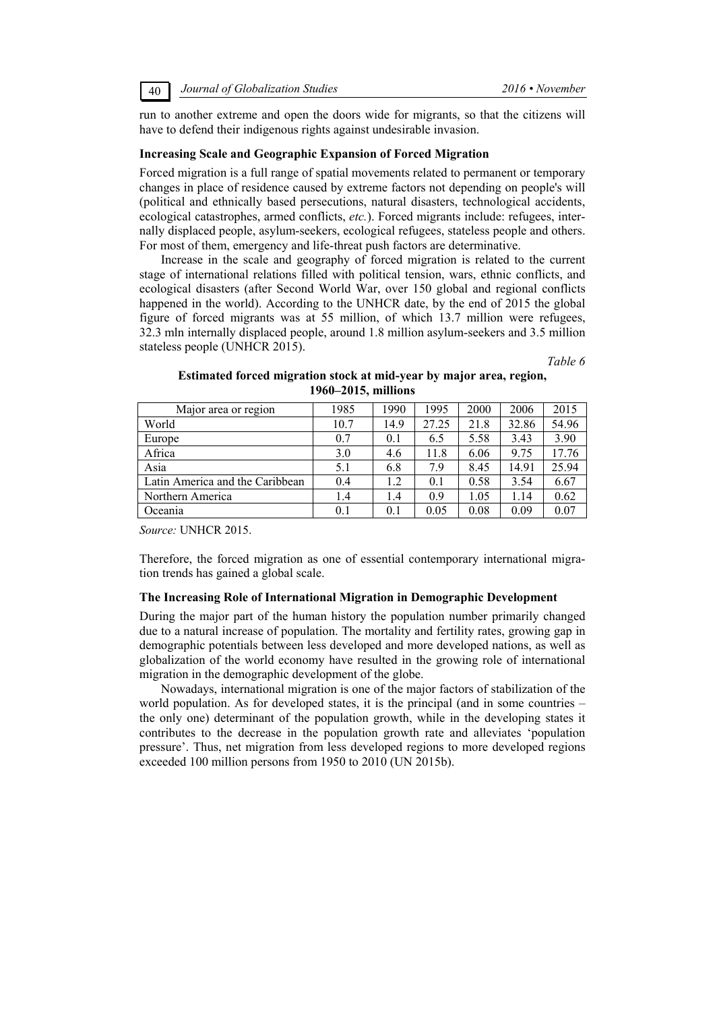40 *Journal of Globalization Studies 2016 • November* 

run to another extreme and open the doors wide for migrants, so that the citizens will have to defend their indigenous rights against undesirable invasion.

#### **Increasing Scale and Geographic Expansion of Forced Migration**

Forced migration is a full range of spatial movements related to permanent or temporary changes in place of residence caused by extreme factors not depending on people's will (political and ethnically based persecutions, natural disasters, technological accidents, ecological catastrophes, armed conflicts, *etc.*). Forced migrants include: refugees, internally displaced people, asylum-seekers, ecological refugees, stateless people and others. For most of them, emergency and life-threat push factors are determinative.

Increase in the scale and geography of forced migration is related to the current stage of international relations filled with political tension, wars, ethnic conflicts, and ecological disasters (after Second World War, over 150 global and regional conflicts happened in the world). According to the UNHCR date, by the end of 2015 the global figure of forced migrants was at 55 million, of which 13.7 million were refugees, 32.3 mln internally displaced people, around 1.8 million asylum-seekers and 3.5 million stateless people (UNHCR 2015).

*Table 6* 

| Estimated forced migration stock at mid-year by major area, region, |  |  |  |  |  |
|---------------------------------------------------------------------|--|--|--|--|--|
| $1960 - 2015$ , millions                                            |  |  |  |  |  |

| Major area or region            | 1985 | 1990 | 1995  | 2000 | 2006  | 2015  |
|---------------------------------|------|------|-------|------|-------|-------|
| World                           | 10.7 | 14.9 | 27.25 | 21.8 | 32.86 | 54.96 |
| Europe                          | 0.7  | 0.1  | 6.5   | 5.58 | 3.43  | 3.90  |
| Africa                          | 3.0  | 4.6  | 11.8  | 6.06 | 9.75  | 17.76 |
| Asia                            | 5.1  | 6.8  | 7.9   | 8.45 | 14.91 | 25.94 |
| Latin America and the Caribbean | 0.4  | 1.2  | 0.1   | 0.58 | 3.54  | 6.67  |
| Northern America                | 1.4  | 1.4  | 0.9   | 1.05 | 1.14  | 0.62  |
| Oceania                         | 0.1  | 0.1  | 0.05  | 0.08 | 0.09  | 0.07  |

*Source:* UNHCR 2015.

Therefore, the forced migration as one of essential contemporary international migration trends has gained a global scale.

#### **The Increasing Role of International Migration in Demographic Development**

During the major part of the human history the population number primarily changed due to a natural increase of population. The mortality and fertility rates, growing gap in demographic potentials between less developed and more developed nations, as well as globalization of the world economy have resulted in the growing role of international migration in the demographic development of the globe.

Nowadays, international migration is one of the major factors of stabilization of the world population. As for developed states, it is the principal (and in some countries – the only one) determinant of the population growth, while in the developing states it contributes to the decrease in the population growth rate and alleviates 'population pressure'. Thus, net migration from less developed regions to more developed regions exceeded 100 million persons from 1950 to 2010 (UN 2015b).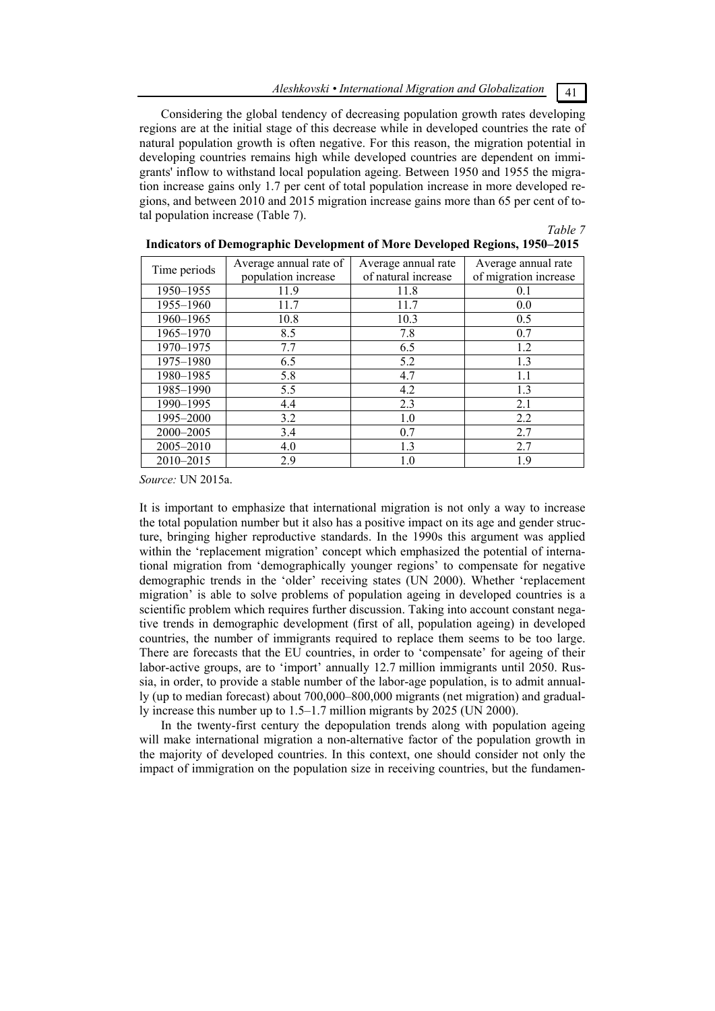Considering the global tendency of decreasing population growth rates developing regions are at the initial stage of this decrease while in developed countries the rate of natural population growth is often negative. For this reason, the migration potential in developing countries remains high while developed countries are dependent on immigrants' inflow to withstand local population ageing. Between 1950 and 1955 the migration increase gains only 1.7 per cent of total population increase in more developed regions, and between 2010 and 2015 migration increase gains more than 65 per cent of total population increase (Table 7).

# *Table 7*

|              | Average annual rate of | Average annual rate | Average annual rate   |
|--------------|------------------------|---------------------|-----------------------|
| Time periods | population increase    | of natural increase | of migration increase |
| 1950–1955    | 11.9                   | 11.8                | 0.1                   |
| 1955-1960    | 11.7                   | 11.7                | 0.0                   |
| 1960-1965    | 10.8                   | 10.3                | 0.5                   |
| 1965-1970    | 8.5                    | 7.8                 | 0.7                   |
| 1970-1975    | 7.7                    | 6.5                 | 1.2                   |
| 1975-1980    | 6.5                    | 5.2                 | 1.3                   |
| 1980-1985    | 5.8                    | 4.7                 | 1.1                   |
| 1985-1990    | 5.5                    | 4.2                 | 1.3                   |
| 1990-1995    | 4.4                    | 2.3                 | 2.1                   |
| 1995-2000    | 3.2                    | 1.0                 | 2.2                   |
| 2000-2005    | 3.4                    | 0.7                 | 2.7                   |
| 2005-2010    | 4.0                    | 1.3                 | 2.7                   |
| 2010-2015    | 2.9                    | 1.0                 | 1.9                   |

# **Indicators of Demographic Development of More Developed Regions, 1950–2015**

*Source:* UN 2015a.

It is important to emphasize that international migration is not only a way to increase the total population number but it also has a positive impact on its age and gender structure, bringing higher reproductive standards. In the 1990s this argument was applied within the 'replacement migration' concept which emphasized the potential of international migration from 'demographically younger regions' to compensate for negative demographic trends in the 'older' receiving states (UN 2000). Whether 'replacement migration' is able to solve problems of population ageing in developed countries is a scientific problem which requires further discussion. Taking into account constant negative trends in demographic development (first of all, population ageing) in developed countries, the number of immigrants required to replace them seems to be too large. There are forecasts that the EU countries, in order to 'compensate' for ageing of their labor-active groups, are to 'import' annually 12.7 million immigrants until 2050. Russia, in order, to provide a stable number of the labor-age population, is to admit annually (up to median forecast) about 700,000–800,000 migrants (net migration) and gradually increase this number up to 1.5–1.7 million migrants by 2025 (UN 2000).

In the twenty-first century the depopulation trends along with population ageing will make international migration a non-alternative factor of the population growth in the majority of developed countries. In this context, one should consider not only the impact of immigration on the population size in receiving countries, but the fundamen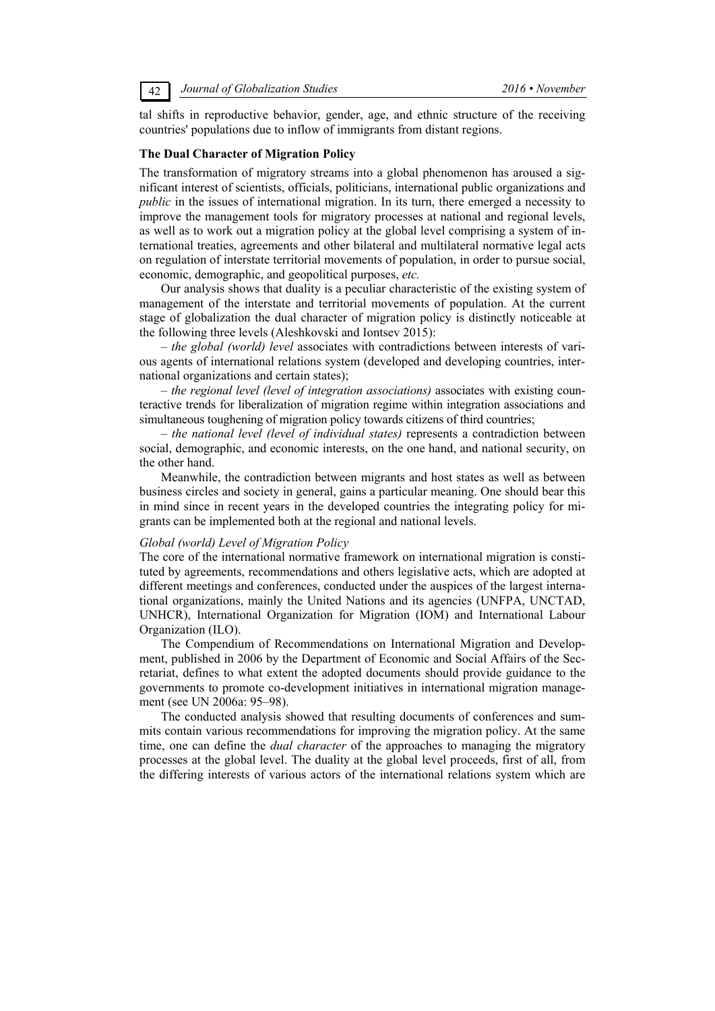tal shifts in reproductive behavior, gender, age, and ethnic structure of the receiving countries' populations due to inflow of immigrants from distant regions.

#### **The Dual Character of Migration Policy**

The transformation of migratory streams into a global phenomenon has aroused a significant interest of scientists, officials, politicians, international public organizations and *public* in the issues of international migration. In its turn, there emerged a necessity to improve the management tools for migratory processes at national and regional levels, as well as to work out a migration policy at the global level comprising a system of international treaties, agreements and other bilateral and multilateral normative legal acts on regulation of interstate territorial movements of population, in order to pursue social, economic, demographic, and geopolitical purposes, *etc.*

Our analysis shows that duality is a peculiar characteristic of the existing system of management of the interstate and territorial movements of population. At the current stage of globalization the dual character of migration policy is distinctly noticeable at the following three levels (Aleshkovski and Iontsev 2015):

*– the global (world) level* associates with contradictions between interests of various agents of international relations system (developed and developing countries, international organizations and certain states);

– *the regional level (level of integration associations)* associates with existing counteractive trends for liberalization of migration regime within integration associations and simultaneous toughening of migration policy towards citizens of third countries;

– *the national level (level of individual states)* represents a contradiction between social, demographic, and economic interests, on the one hand, and national security, on the other hand.

Meanwhile, the contradiction between migrants and host states as well as between business circles and society in general, gains a particular meaning. One should bear this in mind since in recent years in the developed countries the integrating policy for migrants can be implemented both at the regional and national levels.

#### *Global (world) Level of Migration Policy*

The core of the international normative framework on international migration is constituted by agreements, recommendations and others legislative acts, which are adopted at different meetings and conferences, conducted under the auspices of the largest international organizations, mainly the United Nations and its agencies (UNFPA, UNCTAD, UNHCR), International Organization for Migration (IOM) and International Labour Organization (ILO).

The Compendium of Recommendations on International Migration and Development, published in 2006 by the Department of Economic and Social Affairs of the Secretariat, defines to what extent the adopted documents should provide guidance to the governments to promote co-development initiatives in international migration management (see UN 2006a: 95–98).

The conducted analysis showed that resulting documents of conferences and summits contain various recommendations for improving the migration policy. At the same time, one can define the *dual character* of the approaches to managing the migratory processes at the global level. The duality at the global level proceeds, first of all, from the differing interests of various actors of the international relations system which are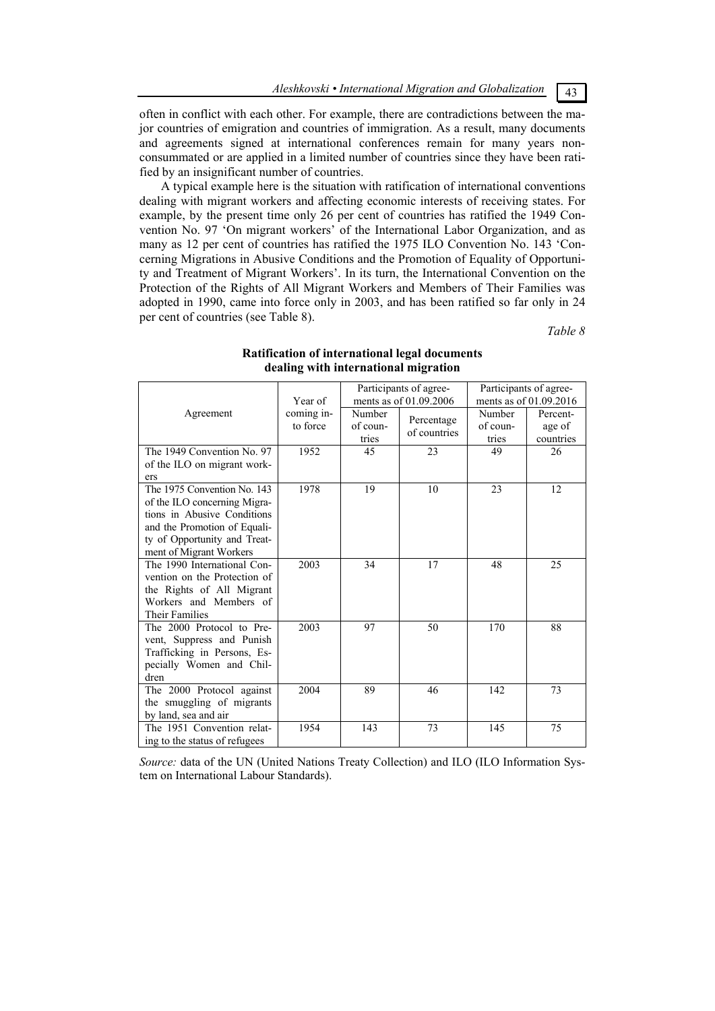often in conflict with each other. For example, there are contradictions between the major countries of emigration and countries of immigration. As a result, many documents and agreements signed at international conferences remain for many years nonconsummated or are applied in a limited number of countries since they have been ratified by an insignificant number of countries.

A typical example here is the situation with ratification of international conventions dealing with migrant workers and affecting economic interests of receiving states. For example, by the present time only 26 per cent of countries has ratified the 1949 Convention No. 97 'On migrant workers' of the International Labor Organization, and as many as 12 per cent of countries has ratified the 1975 ILO Convention No. 143 'Concerning Migrations in Abusive Conditions and the Promotion of Equality of Opportunity and Treatment of Migrant Workers'. In its turn, the International Convention on the Protection of the Rights of All Migrant Workers and Members of Their Families was adopted in 1990, came into force only in 2003, and has been ratified so far only in 24 per cent of countries (see Table 8).

*Table 8*

|                                                                                                                                                                                       |                        |                             | Participants of agree-     | Participants of agree-      |                                 |  |
|---------------------------------------------------------------------------------------------------------------------------------------------------------------------------------------|------------------------|-----------------------------|----------------------------|-----------------------------|---------------------------------|--|
|                                                                                                                                                                                       | Year of                |                             | ments as of 01.09.2006     |                             | ments as of 01.09.2016          |  |
| Agreement                                                                                                                                                                             | coming in-<br>to force | Number<br>of coun-<br>tries | Percentage<br>of countries | Number<br>of coun-<br>tries | Percent-<br>age of<br>countries |  |
| The 1949 Convention No. 97<br>of the ILO on migrant work-<br>ers                                                                                                                      | 1952                   | 45                          | 23                         | 49                          | 26                              |  |
| The 1975 Convention No. 143<br>of the ILO concerning Migra-<br>tions in Abusive Conditions<br>and the Promotion of Equali-<br>ty of Opportunity and Treat-<br>ment of Migrant Workers | 1978                   | 19                          | 10                         | 23                          | 12                              |  |
| The 1990 International Con-<br>vention on the Protection of<br>the Rights of All Migrant<br>Workers and Members of<br><b>Their Families</b>                                           | 2003                   | 34                          | 17                         | 48                          | 25                              |  |
| The 2000 Protocol to Pre-<br>vent, Suppress and Punish<br>Trafficking in Persons, Es-<br>pecially Women and Chil-<br>dren                                                             | 2003                   | 97                          | 50                         | 170                         | 88                              |  |
| The 2000 Protocol against<br>the smuggling of migrants<br>by land, sea and air                                                                                                        | 2004                   | 89                          | 46                         | 142                         | 73                              |  |
| The 1951 Convention relat-<br>ing to the status of refugees                                                                                                                           | 1954                   | 143                         | 73                         | 145                         | 75                              |  |

# **Ratification of international legal documents dealing with international migration**

*Source:* data of the UN (United Nations Treaty Collection) and ILO (ILO Information System on International Labour Standards).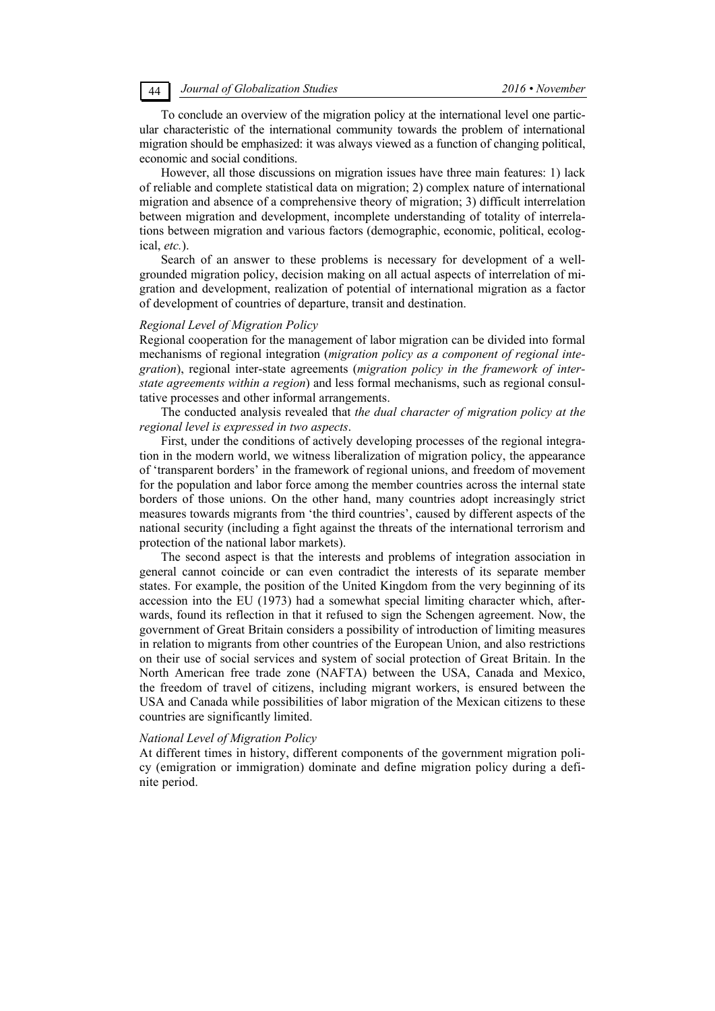To conclude an overview of the migration policy at the international level one particular characteristic of the international community towards the problem of international migration should be emphasized: it was always viewed as a function of changing political, economic and social conditions.

However, all those discussions on migration issues have three main features: 1) lack of reliable and complete statistical data on migration; 2) complex nature of international migration and absence of a comprehensive theory of migration; 3) difficult interrelation between migration and development, incomplete understanding of totality of interrelations between migration and various factors (demographic, economic, political, ecological, *etc.*).

Search of an answer to these problems is necessary for development of a wellgrounded migration policy, decision making on all actual aspects of interrelation of migration and development, realization of potential of international migration as a factor of development of countries of departure, transit and destination.

#### *Regional Level of Migration Policy*

Regional cooperation for the management of labor migration can be divided into formal mechanisms of regional integration (*migration policy as a component of regional integration*), regional inter-state agreements (*migration policy in the framework of interstate agreements within a region*) and less formal mechanisms, such as regional consultative processes and other informal arrangements.

The conducted analysis revealed that *the dual character of migration policy at the regional level is expressed in two aspects*.

First, under the conditions of actively developing processes of the regional integration in the modern world, we witness liberalization of migration policy, the appearance of 'transparent borders' in the framework of regional unions, and freedom of movement for the population and labor force among the member countries across the internal state borders of those unions. On the other hand, many countries adopt increasingly strict measures towards migrants from 'the third countries', caused by different aspects of the national security (including a fight against the threats of the international terrorism and protection of the national labor markets).

The second aspect is that the interests and problems of integration association in general cannot coincide or can even contradict the interests of its separate member states. For example, the position of the United Kingdom from the very beginning of its accession into the EU (1973) had a somewhat special limiting character which, afterwards, found its reflection in that it refused to sign the Schengen agreement. Now, the government of Great Britain considers a possibility of introduction of limiting measures in relation to migrants from other countries of the European Union, and also restrictions on their use of social services and system of social protection of Great Britain. In the North American free trade zone (NAFTA) between the USA, Canada and Mexico, the freedom of travel of citizens, including migrant workers, is ensured between the USA and Canada while possibilities of labor migration of the Mexican citizens to these countries are significantly limited.

#### *National Level of Migration Policy*

At different times in history, different components of the government migration policy (emigration or immigration) dominate and define migration policy during a definite period.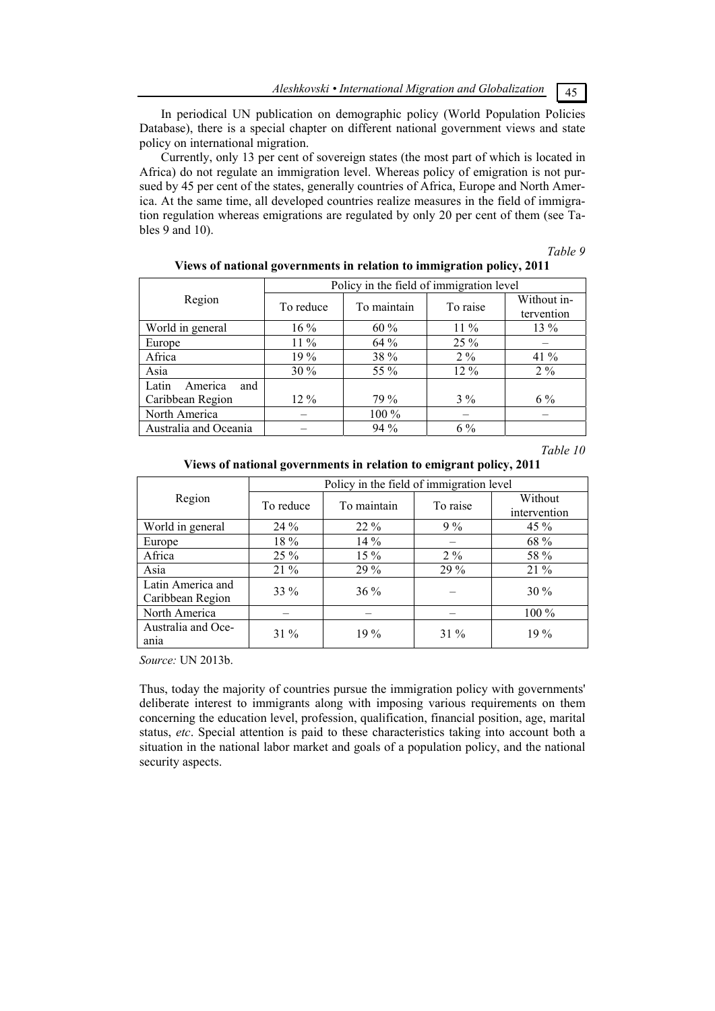*Aleshkovski • International Migration аnd Globalization* 45

In periodical UN publication on demographic policy (World Population Policies Database), there is a special chapter on different national government views and state policy on international migration.

Currently, only 13 per cent of sovereign states (the most part of which is located in Africa) do not regulate an immigration level. Whereas policy of emigration is not pursued by 45 per cent of the states, generally countries of Africa, Europe and North America. At the same time, all developed countries realize measures in the field of immigration regulation whereas emigrations are regulated by only 20 per cent of them (see Tables 9 and 10).

#### *Table 9*

|                         | Policy in the field of immigration level |             |          |                           |  |  |
|-------------------------|------------------------------------------|-------------|----------|---------------------------|--|--|
| Region                  | To reduce                                | To maintain | To raise | Without in-<br>tervention |  |  |
| World in general        | $16\%$                                   | 60 %        | $11\%$   | $13\%$                    |  |  |
| Europe                  | $11\%$                                   | 64%         | 25 %     |                           |  |  |
| Africa                  | 19 %                                     | 38 %        | $2\%$    | 41 %                      |  |  |
| Asia                    | $30\%$                                   | 55 %        | $12\%$   | $2\%$                     |  |  |
| America<br>Latin<br>and |                                          |             |          |                           |  |  |
| Caribbean Region        | $12\%$                                   | 79 %        | $3\%$    | $6\%$                     |  |  |
| North America           |                                          | $100\%$     |          |                           |  |  |
| Australia and Oceania   |                                          | $94\%$      | $6\%$    |                           |  |  |

**Views of national governments in relation to immigration policy, 2011**

*Table 10* 

**Views of national governments in relation to emigrant policy, 2011**

|                                       | Policy in the field of immigration level |             |          |                         |  |  |
|---------------------------------------|------------------------------------------|-------------|----------|-------------------------|--|--|
| Region                                | To reduce                                | To maintain | To raise | Without<br>intervention |  |  |
| World in general                      | 24 %                                     | $22\%$      | $9\%$    | 45 %                    |  |  |
| Europe                                | 18 %                                     | 14 %        |          | 68 %                    |  |  |
| Africa                                | $25\%$                                   | $15\%$      | $2\%$    | 58 %                    |  |  |
| Asia                                  | $21\%$                                   | 29 %        | 29 %     | $21\%$                  |  |  |
| Latin America and<br>Caribbean Region | $33\%$                                   | $36\%$      |          | 30 %                    |  |  |
| North America                         |                                          |             |          | 100 %                   |  |  |
| Australia and Oce-<br>ania            | $31\%$                                   | $19\%$      | $31\%$   | $19\%$                  |  |  |

*Source:* UN 2013b.

Thus, today the majority of countries pursue the immigration policy with governments' deliberate interest to immigrants along with imposing various requirements on them concerning the education level, profession, qualification, financial position, age, marital status, *etc*. Special attention is paid to these characteristics taking into account both a situation in the national labor market and goals of a population policy, and the national security aspects.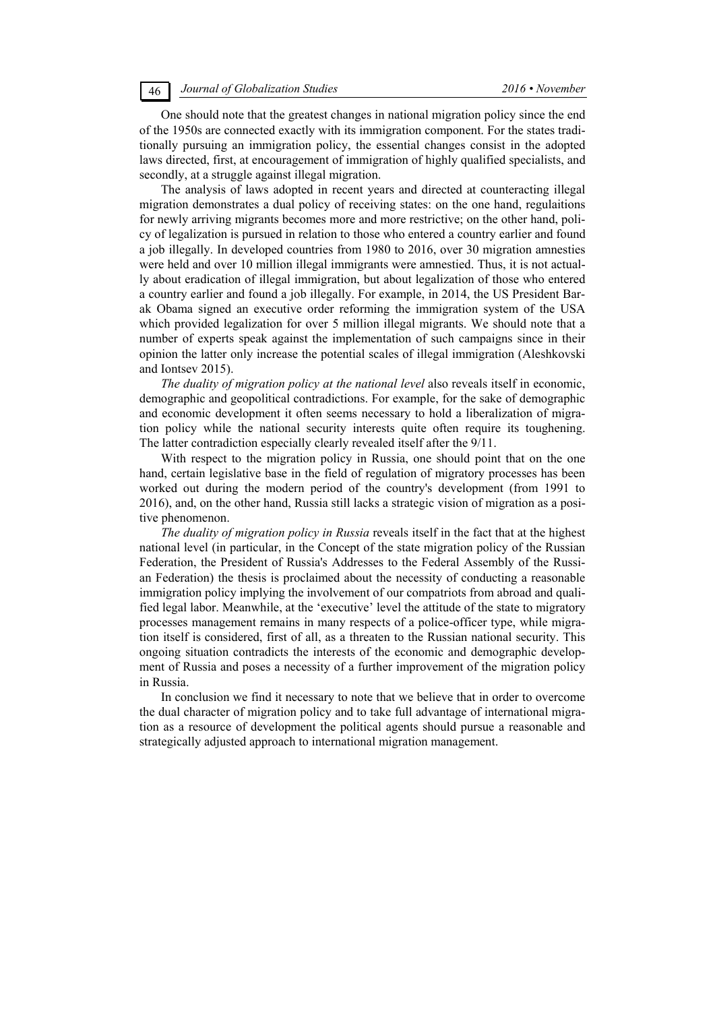One should note that the greatest changes in national migration policy since the end of the 1950s are connected exactly with its immigration component. For the states traditionally pursuing an immigration policy, the essential changes consist in the adopted laws directed, first, at encouragement of immigration of highly qualified specialists, and secondly, at a struggle against illegal migration.

The analysis of laws adopted in recent years and directed at counteracting illegal migration demonstrates a dual policy of receiving states: on the one hand, regulaitions for newly arriving migrants becomes more and more restrictive; on the other hand, policy of legalization is pursued in relation to those who entered a country earlier and found a job illegally. In developed countries from 1980 to 2016, over 30 migration amnesties were held and over 10 million illegal immigrants were amnestied. Thus, it is not actually about eradication of illegal immigration, but about legalization of those who entered a country earlier and found a job illegally. For example, in 2014, the US President Barak Obama signed an executive order reforming the immigration system of the USA which provided legalization for over 5 million illegal migrants. We should note that a number of experts speak against the implementation of such campaigns since in their opinion the latter only increase the potential scales of illegal immigration (Aleshkovski and Iontsev 2015).

*The duality of migration policy at the national level* also reveals itself in economic, demographic and geopolitical contradictions. For example, for the sake of demographic and economic development it often seems necessary to hold a liberalization of migration policy while the national security interests quite often require its toughening. The latter contradiction especially clearly revealed itself after the 9/11.

With respect to the migration policy in Russia, one should point that on the one hand, certain legislative base in the field of regulation of migratory processes has been worked out during the modern period of the country's development (from 1991 to 2016), and, on the other hand, Russia still lacks a strategic vision of migration as a positive phenomenon.

*The duality of migration policy in Russia* reveals itself in the fact that at the highest national level (in particular, in the Concept of the state migration policy of the Russian Federation, the President of Russia's Addresses to the Federal Assembly of the Russian Federation) the thesis is proclaimed about the necessity of conducting a reasonable immigration policy implying the involvement of our compatriots from abroad and qualified legal labor. Meanwhile, at the 'executive' level the attitude of the state to migratory processes management remains in many respects of a police-officer type, while migration itself is considered, first of all, as a threaten to the Russian national security. This ongoing situation contradicts the interests of the economic and demographic development of Russia and poses a necessity of a further improvement of the migration policy in Russia.

In conclusion we find it necessary to note that we believe that in order to overcome the dual character of migration policy and to take full advantage of international migration as a resource of development the political agents should pursue a reasonable and strategically adjusted approach to international migration management.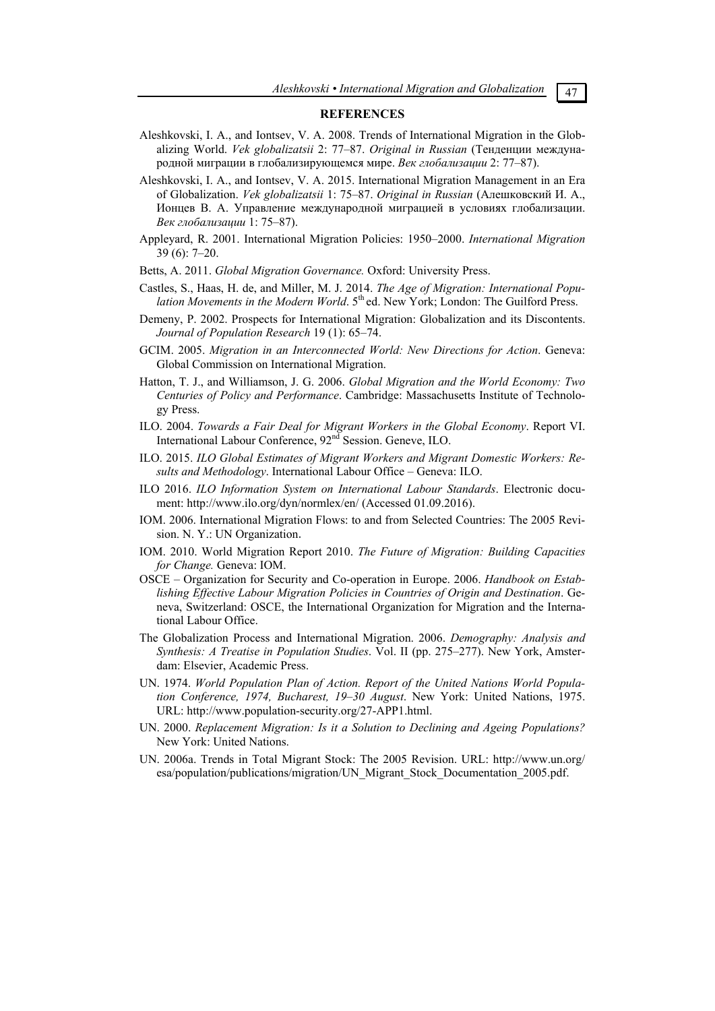#### **REFERENCES**

- Aleshkovski, I. A., and Iontsev, V. A. 2008. Trends of International Migration in the Globalizing World. *Vek globalizatsii* 2: 77–87. *Original in Russian* (Тенденции международной миграции в глобализирующемся мире. *Век глобализации* 2: 77–87).
- Aleshkovski, I. A., and Iontsev, V. A. 2015. International Migration Management in an Era of Globalization. *Vek globalizatsii* 1: 75–87. *Original in Russian* (Алешковский И. А., Ионцев В. А. Управление международной миграцией в условиях глобализации. *Век глобализации* 1: 75–87).
- Appleyard, R. 2001. International Migration Policies: 1950–2000. *International Migration* 39 (6): 7–20.
- Betts, A. 2011. *Global Migration Governance.* Oxford: University Press.
- Castles, S., Haas, H. de, and Miller, M. J. 2014. *The Age of Migration: International Population Movements in the Modern World.* 5<sup>th</sup> ed. New York; London: The Guilford Press.
- Demeny, P. 2002. Prospects for International Migration: Globalization and its Discontents. *Journal of Population Research* 19 (1): 65–74.
- GCIM. 2005. *Migration in an Interconnected World: New Directions for Action*. Geneva: Global Commission on International Migration.
- Hatton, T. J., and Williamson, J. G. 2006. *Global Migration and the World Economy: Two Centuries of Policy and Performance*. Cambridge: Massachusetts Institute of Technology Press.
- ILO. 2004. *Towards a Fair Deal for Migrant Workers in the Global Economy*. Report VI. International Labour Conference,  $92<sup>nd</sup>$  Session. Geneve, ILO.
- ILO. 2015. *ILO Global Estimates of Migrant Workers and Migrant Domestic Workers: Results and Methodology*. International Labour Office – Geneva: ILO.
- ILO 2016. *ILO Information System on International Labour Standards*. Electronic document: http://www.ilo.org/dyn/normlex/en/ (Accessed 01.09.2016).
- IOM. 2006. International Migration Flows: to and from Selected Countries: The 2005 Revision. N. Y.: UN Organization.
- IOM. 2010. World Migration Report 2010. *The Future of Migration: Building Capacities for Change.* Geneva: IOM.
- OSCE Organization for Security and Co-operation in Europe. 2006. *Handbook on Establishing Effective Labour Migration Policies in Countries of Origin and Destination*. Geneva, Switzerland: OSCE, the International Organization for Migration and the International Labour Office.
- The Globalization Process and International Migration. 2006. *Demography: Analysis and Synthesis: A Treatise in Population Studies*. Vol. II (pp. 275–277). New York, Amsterdam: Elsevier, Academic Press.
- UN. 1974. *World Population Plan of Action. Report of the United Nations World Population Conference, 1974, Bucharest, 19–30 August*. New York: United Nations, 1975. URL: http://www.population-security.org/27-APP1.html.
- UN. 2000. *Replacement Migration: Is it a Solution to Declining and Ageing Populations?* New York: United Nations.
- UN. 2006a. Trends in Total Migrant Stock: The 2005 Revision. URL: http://www.un.org/ esa/population/publications/migration/UN\_Migrant\_Stock\_Documentation\_2005.pdf.